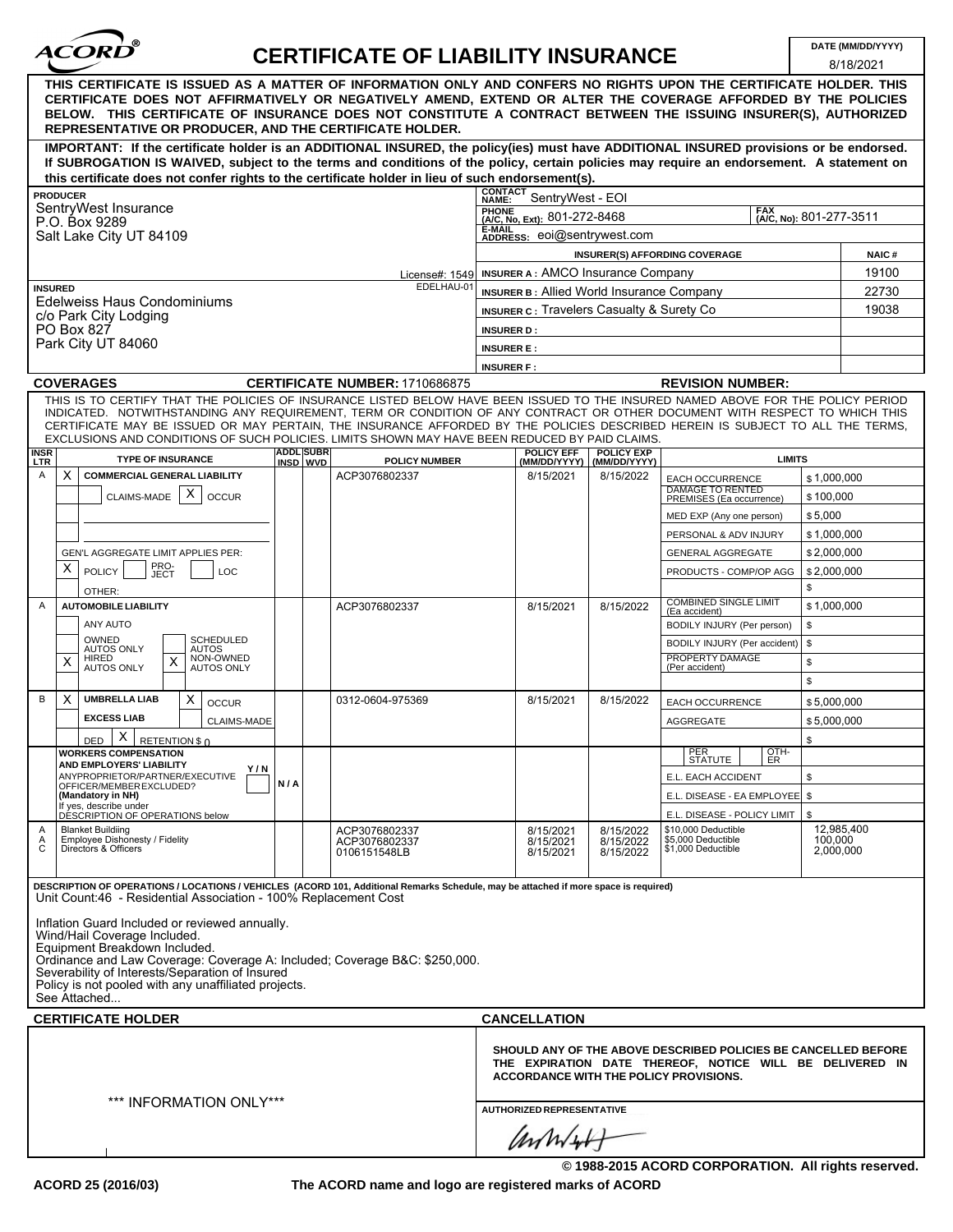

## **CERTIFICATE OF LIABILITY INSURANCE DATE (MM/DD/YYYY)**

|                                                                                                                                                                                                                                                                                                                                                                                                                                                                                                    |                                                                  |                              |                                                  |                                                                                                                                                                      |                                     |                                                                 |               | 8/18/2021               |
|----------------------------------------------------------------------------------------------------------------------------------------------------------------------------------------------------------------------------------------------------------------------------------------------------------------------------------------------------------------------------------------------------------------------------------------------------------------------------------------------------|------------------------------------------------------------------|------------------------------|--------------------------------------------------|----------------------------------------------------------------------------------------------------------------------------------------------------------------------|-------------------------------------|-----------------------------------------------------------------|---------------|-------------------------|
| THIS CERTIFICATE IS ISSUED AS A MATTER OF INFORMATION ONLY AND CONFERS NO RIGHTS UPON THE CERTIFICATE HOLDER. THIS<br>CERTIFICATE DOES NOT AFFIRMATIVELY OR NEGATIVELY AMEND, EXTEND OR ALTER THE COVERAGE AFFORDED BY THE POLICIES<br>BELOW. THIS CERTIFICATE OF INSURANCE DOES NOT CONSTITUTE A CONTRACT BETWEEN THE ISSUING INSURER(S), AUTHORIZED<br>REPRESENTATIVE OR PRODUCER, AND THE CERTIFICATE HOLDER.                                                                                   |                                                                  |                              |                                                  |                                                                                                                                                                      |                                     |                                                                 |               |                         |
| IMPORTANT: If the certificate holder is an ADDITIONAL INSURED, the policy(ies) must have ADDITIONAL INSURED provisions or be endorsed.<br>If SUBROGATION IS WAIVED, subject to the terms and conditions of the policy, certain policies may require an endorsement. A statement on                                                                                                                                                                                                                 |                                                                  |                              |                                                  |                                                                                                                                                                      |                                     |                                                                 |               |                         |
| this certificate does not confer rights to the certificate holder in lieu of such endorsement(s).                                                                                                                                                                                                                                                                                                                                                                                                  |                                                                  |                              |                                                  |                                                                                                                                                                      |                                     |                                                                 |               |                         |
| <b>PRODUCER</b>                                                                                                                                                                                                                                                                                                                                                                                                                                                                                    |                                                                  |                              |                                                  | <b>CONTACT</b><br>SentryWest - EOI<br>NAME:                                                                                                                          |                                     |                                                                 |               |                         |
| SentryWest Insurance<br>P.O. Box 9289                                                                                                                                                                                                                                                                                                                                                                                                                                                              | PHONE<br>(A/C, No, Ext): 801-272-8468<br>(A/C, No): 801-277-3511 |                              |                                                  |                                                                                                                                                                      |                                     |                                                                 |               |                         |
| Salt Lake City UT 84109                                                                                                                                                                                                                                                                                                                                                                                                                                                                            | E-MAIL<br>ADDRESS: eoi@sentrywest.com                            |                              |                                                  |                                                                                                                                                                      |                                     |                                                                 |               |                         |
|                                                                                                                                                                                                                                                                                                                                                                                                                                                                                                    |                                                                  |                              |                                                  |                                                                                                                                                                      |                                     | INSURER(S) AFFORDING COVERAGE                                   |               | <b>NAIC#</b>            |
| License#: 1549                                                                                                                                                                                                                                                                                                                                                                                                                                                                                     |                                                                  |                              | <b>INSURER A: AMCO Insurance Company</b>         |                                                                                                                                                                      | 19100                               |                                                                 |               |                         |
| EDELHAU-01<br><b>INSURED</b>                                                                                                                                                                                                                                                                                                                                                                                                                                                                       |                                                                  |                              | <b>INSURER B: Allied World Insurance Company</b> | 22730                                                                                                                                                                |                                     |                                                                 |               |                         |
| Edelweiss Haus Condominiums<br>c/o Park City Lodging                                                                                                                                                                                                                                                                                                                                                                                                                                               |                                                                  |                              |                                                  | <b>INSURER C: Travelers Casualty &amp; Surety Co.</b>                                                                                                                | 19038                               |                                                                 |               |                         |
| PO Box 827                                                                                                                                                                                                                                                                                                                                                                                                                                                                                         |                                                                  |                              |                                                  | <b>INSURER D:</b>                                                                                                                                                    |                                     |                                                                 |               |                         |
| Park City UT 84060                                                                                                                                                                                                                                                                                                                                                                                                                                                                                 |                                                                  |                              |                                                  | <b>INSURER E:</b>                                                                                                                                                    |                                     |                                                                 |               |                         |
|                                                                                                                                                                                                                                                                                                                                                                                                                                                                                                    | <b>INSURER F:</b>                                                |                              |                                                  |                                                                                                                                                                      |                                     |                                                                 |               |                         |
| <b>COVERAGES</b>                                                                                                                                                                                                                                                                                                                                                                                                                                                                                   |                                                                  |                              | CERTIFICATE NUMBER: 1710686875                   | <b>REVISION NUMBER:</b>                                                                                                                                              |                                     |                                                                 |               |                         |
| THIS IS TO CERTIFY THAT THE POLICIES OF INSURANCE LISTED BELOW HAVE BEEN ISSUED TO THE INSURED NAMED ABOVE FOR THE POLICY PERIOD<br>INDICATED. NOTWITHSTANDING ANY REQUIREMENT, TERM OR CONDITION OF ANY CONTRACT OR OTHER DOCUMENT WITH RESPECT TO WHICH THIS<br>CERTIFICATE MAY BE ISSUED OR MAY PERTAIN, THE INSURANCE AFFORDED BY THE POLICIES DESCRIBED HEREIN IS SUBJECT TO ALL THE TERMS,<br>EXCLUSIONS AND CONDITIONS OF SUCH POLICIES. LIMITS SHOWN MAY HAVE BEEN REDUCED BY PAID CLAIMS. |                                                                  |                              |                                                  |                                                                                                                                                                      |                                     |                                                                 |               |                         |
| <b>INSR</b><br>LTR<br><b>TYPE OF INSURANCE</b>                                                                                                                                                                                                                                                                                                                                                                                                                                                     |                                                                  | <b>ADDL SUBR</b><br>INSD WVD | <b>POLICY NUMBER</b>                             | <b>POLICY EFF</b><br>(MM/DD/YYYY)                                                                                                                                    | <b>POLICY EXP</b><br>(MM/DD/YYYY)   |                                                                 | <b>LIMITS</b> |                         |
| <b>COMMERCIAL GENERAL LIABILITY</b><br>Α<br>X.                                                                                                                                                                                                                                                                                                                                                                                                                                                     |                                                                  |                              | ACP3076802337                                    | 8/15/2021                                                                                                                                                            | 8/15/2022                           | EACH OCCURRENCE                                                 | \$1,000,000   |                         |
| X<br>CLAIMS-MADE<br><b>OCCUR</b>                                                                                                                                                                                                                                                                                                                                                                                                                                                                   |                                                                  |                              |                                                  |                                                                                                                                                                      |                                     | <b>DAMAGE TO RENTED</b><br>PREMISES (Ea occurrence)             | \$100,000     |                         |
|                                                                                                                                                                                                                                                                                                                                                                                                                                                                                                    |                                                                  |                              |                                                  |                                                                                                                                                                      |                                     | MED EXP (Any one person)                                        | \$5,000       |                         |
|                                                                                                                                                                                                                                                                                                                                                                                                                                                                                                    |                                                                  |                              |                                                  |                                                                                                                                                                      |                                     | PERSONAL & ADV INJURY                                           | \$1,000,000   |                         |
| GEN'L AGGREGATE LIMIT APPLIES PER:                                                                                                                                                                                                                                                                                                                                                                                                                                                                 |                                                                  |                              |                                                  |                                                                                                                                                                      |                                     | <b>GENERAL AGGREGATE</b>                                        | \$2,000,000   |                         |
| PRO-<br>JECT<br>X.<br><b>POLICY</b><br><b>LOC</b>                                                                                                                                                                                                                                                                                                                                                                                                                                                  |                                                                  |                              |                                                  |                                                                                                                                                                      |                                     | PRODUCTS - COMP/OP AGG                                          | \$2,000,000   |                         |
| OTHER:                                                                                                                                                                                                                                                                                                                                                                                                                                                                                             |                                                                  |                              |                                                  |                                                                                                                                                                      |                                     |                                                                 | \$            |                         |
| <b>AUTOMOBILE LIABILITY</b><br>A                                                                                                                                                                                                                                                                                                                                                                                                                                                                   |                                                                  |                              | ACP3076802337                                    | 8/15/2021                                                                                                                                                            | 8/15/2022                           | <b>COMBINED SINGLE LIMIT</b><br>(Ea accident)                   | \$1,000,000   |                         |
| ANY AUTO                                                                                                                                                                                                                                                                                                                                                                                                                                                                                           |                                                                  |                              |                                                  |                                                                                                                                                                      |                                     | BODILY INJURY (Per person)                                      | \$            |                         |
| OWNED<br><b>SCHEDULED</b>                                                                                                                                                                                                                                                                                                                                                                                                                                                                          |                                                                  |                              |                                                  |                                                                                                                                                                      |                                     | BODILY INJURY (Per accident)                                    | \$            |                         |
| <b>AUTOS ONLY</b><br><b>AUTOS</b><br>NON-OWNED<br><b>HIRED</b><br>X<br>X<br>AUTOS ONLY<br><b>AUTOS ONLY</b>                                                                                                                                                                                                                                                                                                                                                                                        |                                                                  |                              |                                                  |                                                                                                                                                                      |                                     | PROPERTY DAMAGE<br>(Per accident)                               | \$            |                         |
|                                                                                                                                                                                                                                                                                                                                                                                                                                                                                                    |                                                                  |                              |                                                  |                                                                                                                                                                      |                                     |                                                                 | \$            |                         |
| <b>UMBRELLA LIAB</b><br>B<br>X<br>X.<br><b>OCCUR</b>                                                                                                                                                                                                                                                                                                                                                                                                                                               |                                                                  |                              | 0312-0604-975369                                 | 8/15/2021                                                                                                                                                            | 8/15/2022                           | EACH OCCURRENCE                                                 | \$5,000,000   |                         |
| <b>EXCESS LIAB</b><br>CLAIMS-MADE                                                                                                                                                                                                                                                                                                                                                                                                                                                                  |                                                                  |                              |                                                  |                                                                                                                                                                      |                                     | <b>AGGREGATE</b>                                                | \$5,000,000   |                         |
| X<br>RETENTION \$ 0<br><b>DED</b>                                                                                                                                                                                                                                                                                                                                                                                                                                                                  |                                                                  |                              |                                                  |                                                                                                                                                                      |                                     |                                                                 | \$            |                         |
| <b>WORKERS COMPENSATION</b>                                                                                                                                                                                                                                                                                                                                                                                                                                                                        |                                                                  |                              |                                                  |                                                                                                                                                                      |                                     | PER<br>OTH-<br>I ER                                             |               |                         |
| AND EMPLOYERS' LIABILITY<br>Y/N<br>ANYPROPRIETOR/PARTNER/EXECUTIVE                                                                                                                                                                                                                                                                                                                                                                                                                                 |                                                                  |                              |                                                  |                                                                                                                                                                      |                                     | STATUTE  <br>E.L. EACH ACCIDENT                                 | \$            |                         |
| OFFICER/MEMBER EXCLUDED?<br>(Mandatory in NH)                                                                                                                                                                                                                                                                                                                                                                                                                                                      | N/A                                                              |                              |                                                  |                                                                                                                                                                      |                                     | E.L. DISEASE - EA EMPLOYEE   \$                                 |               |                         |
| If yes, describe under<br>DÉSCRIPTION OF OPERATIONS below                                                                                                                                                                                                                                                                                                                                                                                                                                          |                                                                  |                              |                                                  |                                                                                                                                                                      |                                     | E.L. DISEASE - POLICY LIMIT                                     | \$            |                         |
| <b>Blanket Buildiing</b><br>Employee Dishonesty / Fidelity<br>$\mathsf{C}$<br>Directors & Officers                                                                                                                                                                                                                                                                                                                                                                                                 |                                                                  |                              | ACP3076802337<br>ACP3076802337<br>0106151548LB   | 8/15/2021<br>8/15/2021<br>8/15/2021                                                                                                                                  | 8/15/2022<br>8/15/2022<br>8/15/2022 | \$10,000 Deductible<br>\$5,000 Deductible<br>\$1,000 Deductible | 100,000       | 12,985,400<br>2,000,000 |
| DESCRIPTION OF OPERATIONS / LOCATIONS / VEHICLES (ACORD 101, Additional Remarks Schedule, may be attached if more space is required)<br>Unit Count:46 - Residential Association - 100% Replacement Cost                                                                                                                                                                                                                                                                                            |                                                                  |                              |                                                  |                                                                                                                                                                      |                                     |                                                                 |               |                         |
| Inflation Guard Included or reviewed annually.<br>Wind/Hail Coverage Included.<br>Equipment Breakdown Included.<br>Ordinance and Law Coverage: Coverage A: Included; Coverage B&C: \$250,000.<br>Severability of Interests/Separation of Insured<br>Policy is not pooled with any unaffiliated projects.<br>See Attached                                                                                                                                                                           |                                                                  |                              |                                                  |                                                                                                                                                                      |                                     |                                                                 |               |                         |
| <b>CERTIFICATE HOLDER</b>                                                                                                                                                                                                                                                                                                                                                                                                                                                                          |                                                                  |                              | <b>CANCELLATION</b>                              |                                                                                                                                                                      |                                     |                                                                 |               |                         |
|                                                                                                                                                                                                                                                                                                                                                                                                                                                                                                    |                                                                  |                              |                                                  | SHOULD ANY OF THE ABOVE DESCRIBED POLICIES BE CANCELLED BEFORE<br>THE EXPIRATION DATE THEREOF, NOTICE WILL BE DELIVERED IN<br>ACCORDANCE WITH THE POLICY PROVISIONS. |                                     |                                                                 |               |                         |
| *** INFORMATION ONLY***                                                                                                                                                                                                                                                                                                                                                                                                                                                                            | <b>AUTHORIZED REPRESENTATIVE</b><br>annist                       |                              |                                                  |                                                                                                                                                                      |                                     |                                                                 |               |                         |

**The ACORD name and logo are registered marks of ACORD**

**© 1988-2015 ACORD CORPORATION. All rights reserved.**